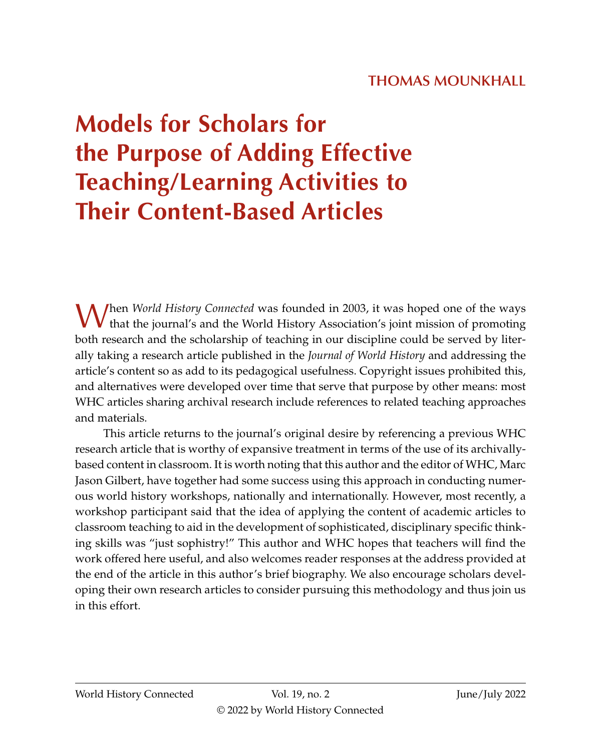# **THOMAS MOUNKHALL**

# **Models for Scholars for the Purpose of Adding Effective Teaching/Learning Activities to Their Content-Based Articles**

When *World History Connected* was founded in 2003, it was hoped one of the ways that the journal's and the World History Association's joint mission of promoting both research and the scholarship of teaching in our discipline could be served by literally taking a research article published in the *Journal of World History* and addressing the article's content so as add to its pedagogical usefulness. Copyright issues prohibited this, and alternatives were developed over time that serve that purpose by other means: most WHC articles sharing archival research include references to related teaching approaches and materials.

This article returns to the journal's original desire by referencing a previous WHC research article that is worthy of expansive treatment in terms of the use of its archivallybased content in classroom. It is worth noting that this author and the editor of WHC, Marc Jason Gilbert, have together had some success using this approach in conducting numerous world history workshops, nationally and internationally. However, most recently, a workshop participant said that the idea of applying the content of academic articles to classroom teaching to aid in the development of sophisticated, disciplinary specific thinking skills was "just sophistry!" This author and WHC hopes that teachers will find the work offered here useful, and also welcomes reader responses at the address provided at the end of the article in this author's brief biography. We also encourage scholars developing their own research articles to consider pursuing this methodology and thus join us in this effort.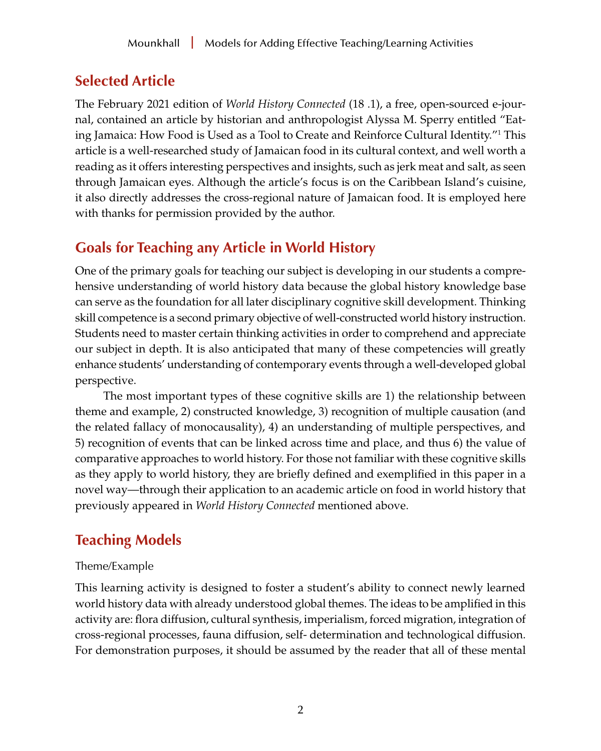# <span id="page-1-0"></span>**Selected Article**

The February 2021 edition of *World History Connected* (18 .1), a free, open-sourced e-journal, contained an article by historian and anthropologist Alyssa M. Sperry entitled "Eating Jamaica: How Food is Used as a Tool to Create and Reinforce Cultural Identity.["1](#page-12-0) This article is a well-researched study of Jamaican food in its cultural context, and well worth a reading as it offers interesting perspectives and insights, such as jerk meat and salt, as seen through Jamaican eyes. Although the article's focus is on the Caribbean Island's cuisine, it also directly addresses the cross-regional nature of Jamaican food. It is employed here with thanks for permission provided by the author.

# **Goals for Teaching any Article in World History**

One of the primary goals for teaching our subject is developing in our students a comprehensive understanding of world history data because the global history knowledge base can serve as the foundation for all later disciplinary cognitive skill development. Thinking skill competence is a second primary objective of well-constructed world history instruction. Students need to master certain thinking activities in order to comprehend and appreciate our subject in depth. It is also anticipated that many of these competencies will greatly enhance students' understanding of contemporary events through a well-developed global perspective.

The most important types of these cognitive skills are 1) the relationship between theme and example, 2) constructed knowledge, 3) recognition of multiple causation (and the related fallacy of monocausality), 4) an understanding of multiple perspectives, and 5) recognition of events that can be linked across time and place, and thus 6) the value of comparative approaches to world history. For those not familiar with these cognitive skills as they apply to world history, they are briefly defined and exemplified in this paper in a novel way—through their application to an academic article on food in world history that previously appeared in *World History Connected* mentioned above.

# **Teaching Models**

## Theme/Example

This learning activity is designed to foster a student's ability to connect newly learned world history data with already understood global themes. The ideas to be amplified in this activity are: flora diffusion, cultural synthesis, imperialism, forced migration, integration of cross-regional processes, fauna diffusion, self- determination and technological diffusion. For demonstration purposes, it should be assumed by the reader that all of these mental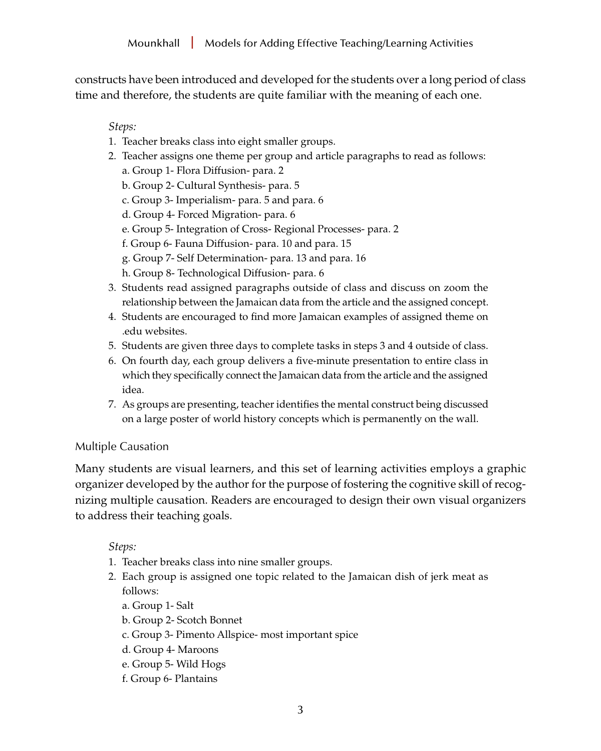constructs have been introduced and developed for the students over a long period of class time and therefore, the students are quite familiar with the meaning of each one.

*Steps:*

- 1. Teacher breaks class into eight smaller groups.
- 2. Teacher assigns one theme per group and article paragraphs to read as follows:
	- a. Group 1- Flora Diffusion- para. 2
	- b. Group 2- Cultural Synthesis- para. 5
	- c. Group 3- Imperialism- para. 5 and para. 6
	- d. Group 4- Forced Migration- para. 6
	- e. Group 5- Integration of Cross- Regional Processes- para. 2
	- f. Group 6- Fauna Diffusion- para. 10 and para. 15
	- g. Group 7- Self Determination- para. 13 and para. 16
	- h. Group 8- Technological Diffusion- para. 6
- 3. Students read assigned paragraphs outside of class and discuss on zoom the relationship between the Jamaican data from the article and the assigned concept.
- 4. Students are encouraged to find more Jamaican examples of assigned theme on .edu websites.
- 5. Students are given three days to complete tasks in steps 3 and 4 outside of class.
- 6. On fourth day, each group delivers a five-minute presentation to entire class in which they specifically connect the Jamaican data from the article and the assigned idea.
- 7. As groups are presenting, teacher identifies the mental construct being discussed on a large poster of world history concepts which is permanently on the wall.

## Multiple Causation

Many students are visual learners, and this set of learning activities employs a graphic organizer developed by the author for the purpose of fostering the cognitive skill of recognizing multiple causation. Readers are encouraged to design their own visual organizers to address their teaching goals.

- 1. Teacher breaks class into nine smaller groups.
- 2. Each group is assigned one topic related to the Jamaican dish of jerk meat as follows:
	- a. Group 1- Salt
	- b. Group 2- Scotch Bonnet
	- c. Group 3- Pimento Allspice- most important spice
	- d. Group 4- Maroons
	- e. Group 5- Wild Hogs
	- f. Group 6- Plantains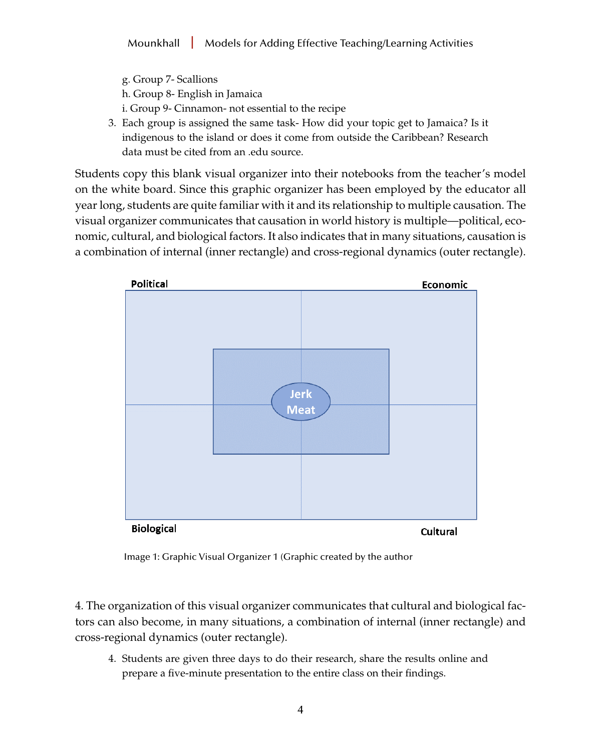- g. Group 7- Scallions
- h. Group 8- English in Jamaica
- i. Group 9- Cinnamon- not essential to the recipe
- 3. Each group is assigned the same task- How did your topic get to Jamaica? Is it indigenous to the island or does it come from outside the Caribbean? Research data must be cited from an .edu source.

Students copy this blank visual organizer into their notebooks from the teacher's model on the white board. Since this graphic organizer has been employed by the educator all year long, students are quite familiar with it and its relationship to multiple causation. The visual organizer communicates that causation in world history is multiple—political, economic, cultural, and biological factors. It also indicates that in many situations, causation is a combination of internal (inner rectangle) and cross-regional dynamics (outer rectangle).



Image 1: Graphic Visual Organizer 1 (Graphic created by the author

4. The organization of this visual organizer communicates that cultural and biological factors can also become, in many situations, a combination of internal (inner rectangle) and cross-regional dynamics (outer rectangle).

4. Students are given three days to do their research, share the results online and prepare a five-minute presentation to the entire class on their findings.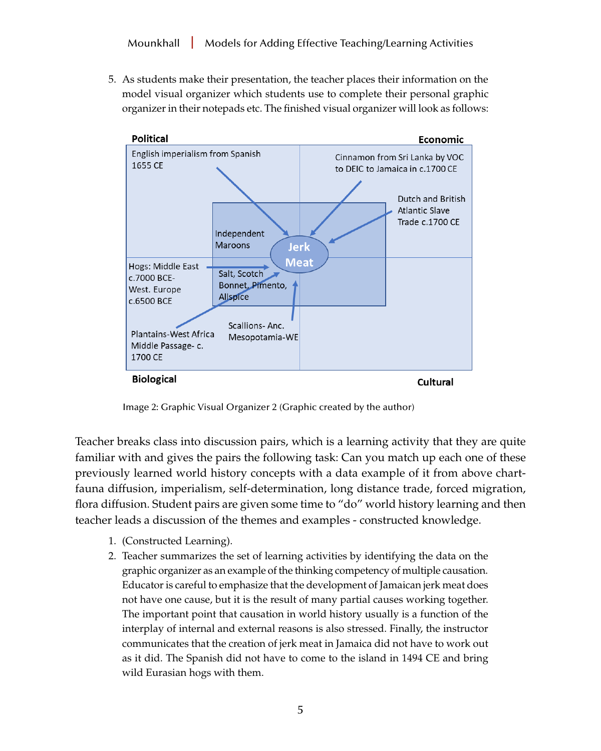5. As students make their presentation, the teacher places their information on the model visual organizer which students use to complete their personal graphic organizer in their notepads etc. The finished visual organizer will look as follows:



Image 2: Graphic Visual Organizer 2 (Graphic created by the author)

Teacher breaks class into discussion pairs, which is a learning activity that they are quite familiar with and gives the pairs the following task: Can you match up each one of these previously learned world history concepts with a data example of it from above chartfauna diffusion, imperialism, self-determination, long distance trade, forced migration, flora diffusion. Student pairs are given some time to "do" world history learning and then teacher leads a discussion of the themes and examples - constructed knowledge.

- 1. (Constructed Learning).
- 2. Teacher summarizes the set of learning activities by identifying the data on the graphic organizer as an example of the thinking competency of multiple causation. Educator is careful to emphasize that the development of Jamaican jerk meat does not have one cause, but it is the result of many partial causes working together. The important point that causation in world history usually is a function of the interplay of internal and external reasons is also stressed. Finally, the instructor communicates that the creation of jerk meat in Jamaica did not have to work out as it did. The Spanish did not have to come to the island in 1494 CE and bring wild Eurasian hogs with them.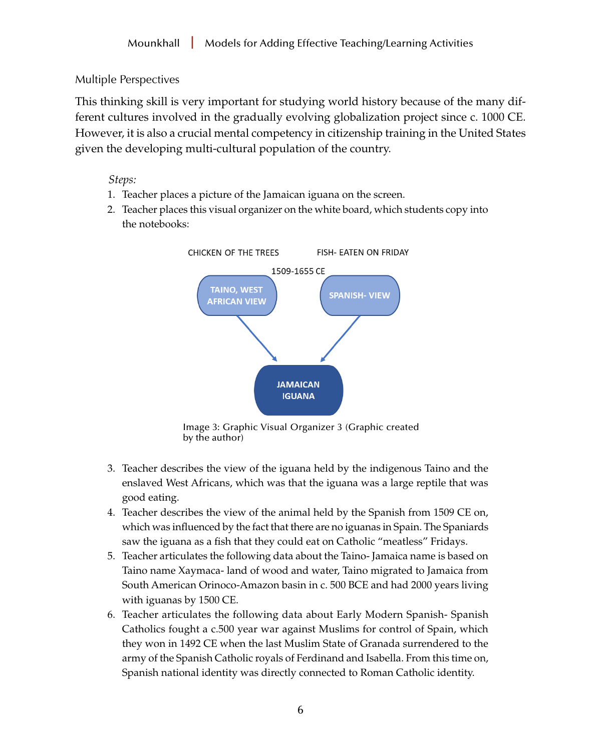## Multiple Perspectives

This thinking skill is very important for studying world history because of the many different cultures involved in the gradually evolving globalization project since c. 1000 CE. However, it is also a crucial mental competency in citizenship training in the United States given the developing multi-cultural population of the country.

- 1. Teacher places a picture of the Jamaican iguana on the screen.
- 2. Teacher places this visual organizer on the white board, which students copy into the notebooks:



Image 3: Graphic Visual Organizer 3 (Graphic created by the author)

- 3. Teacher describes the view of the iguana held by the indigenous Taino and the enslaved West Africans, which was that the iguana was a large reptile that was good eating.
- 4. Teacher describes the view of the animal held by the Spanish from 1509 CE on, which was influenced by the fact that there are no iguanas in Spain. The Spaniards saw the iguana as a fish that they could eat on Catholic "meatless" Fridays.
- 5. Teacher articulates the following data about the Taino- Jamaica name is based on Taino name Xaymaca- land of wood and water, Taino migrated to Jamaica from South American Orinoco-Amazon basin in c. 500 BCE and had 2000 years living with iguanas by 1500 CE.
- 6. Teacher articulates the following data about Early Modern Spanish- Spanish Catholics fought a c.500 year war against Muslims for control of Spain, which they won in 1492 CE when the last Muslim State of Granada surrendered to the army of the Spanish Catholic royals of Ferdinand and Isabella. From this time on, Spanish national identity was directly connected to Roman Catholic identity.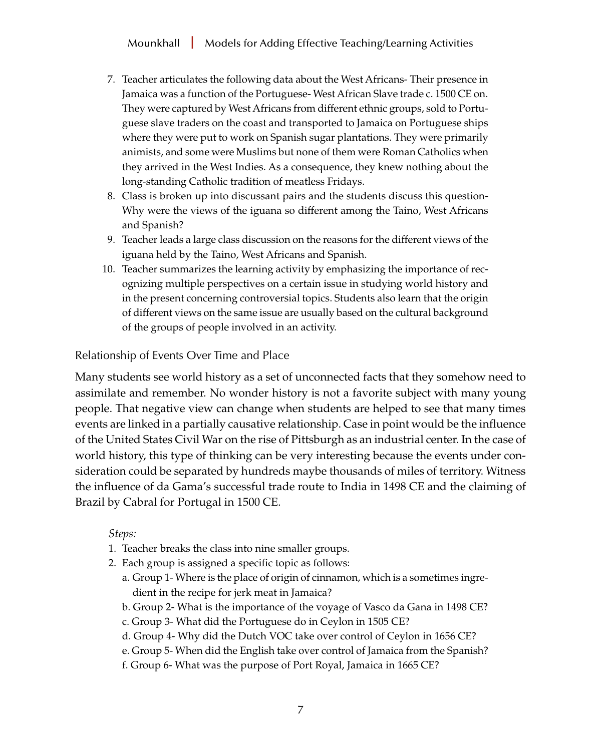- 7. Teacher articulates the following data about the West Africans- Their presence in Jamaica was a function of the Portuguese- West African Slave trade c. 1500 CE on. They were captured by West Africans from different ethnic groups, sold to Portuguese slave traders on the coast and transported to Jamaica on Portuguese ships where they were put to work on Spanish sugar plantations. They were primarily animists, and some were Muslims but none of them were Roman Catholics when they arrived in the West Indies. As a consequence, they knew nothing about the long-standing Catholic tradition of meatless Fridays.
- 8. Class is broken up into discussant pairs and the students discuss this question-Why were the views of the iguana so different among the Taino, West Africans and Spanish?
- 9. Teacher leads a large class discussion on the reasons for the different views of the iguana held by the Taino, West Africans and Spanish.
- 10. Teacher summarizes the learning activity by emphasizing the importance of recognizing multiple perspectives on a certain issue in studying world history and in the present concerning controversial topics. Students also learn that the origin of different views on the same issue are usually based on the cultural background of the groups of people involved in an activity.

Relationship of Events Over Time and Place

Many students see world history as a set of unconnected facts that they somehow need to assimilate and remember. No wonder history is not a favorite subject with many young people. That negative view can change when students are helped to see that many times events are linked in a partially causative relationship. Case in point would be the influence of the United States Civil War on the rise of Pittsburgh as an industrial center. In the case of world history, this type of thinking can be very interesting because the events under consideration could be separated by hundreds maybe thousands of miles of territory. Witness the influence of da Gama's successful trade route to India in 1498 CE and the claiming of Brazil by Cabral for Portugal in 1500 CE.

- 1. Teacher breaks the class into nine smaller groups.
- 2. Each group is assigned a specific topic as follows:
	- a. Group 1- Where is the place of origin of cinnamon, which is a sometimes ingredient in the recipe for jerk meat in Jamaica?
	- b. Group 2- What is the importance of the voyage of Vasco da Gana in 1498 CE?
	- c. Group 3- What did the Portuguese do in Ceylon in 1505 CE?
	- d. Group 4- Why did the Dutch VOC take over control of Ceylon in 1656 CE?
	- e. Group 5- When did the English take over control of Jamaica from the Spanish?
	- f. Group 6- What was the purpose of Port Royal, Jamaica in 1665 CE?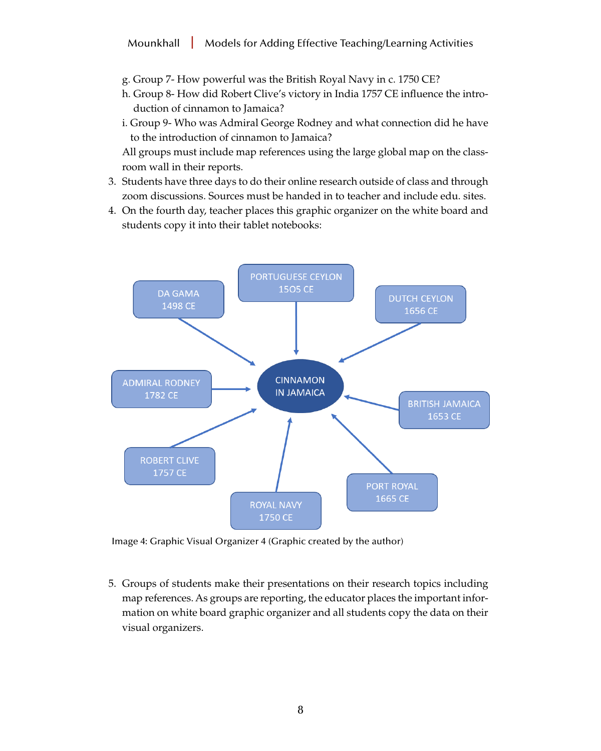- g. Group 7- How powerful was the British Royal Navy in c. 1750 CE?
- h. Group 8- How did Robert Clive's victory in India 1757 CE influence the introduction of cinnamon to Jamaica?
- i. Group 9- Who was Admiral George Rodney and what connection did he have to the introduction of cinnamon to Jamaica?

All groups must include map references using the large global map on the classroom wall in their reports.

- 3. Students have three days to do their online research outside of class and through zoom discussions. Sources must be handed in to teacher and include edu. sites.
- 4. On the fourth day, teacher places this graphic organizer on the white board and students copy it into their tablet notebooks:



Image 4: Graphic Visual Organizer 4 (Graphic created by the author)

5. Groups of students make their presentations on their research topics including map references. As groups are reporting, the educator places the important information on white board graphic organizer and all students copy the data on their visual organizers.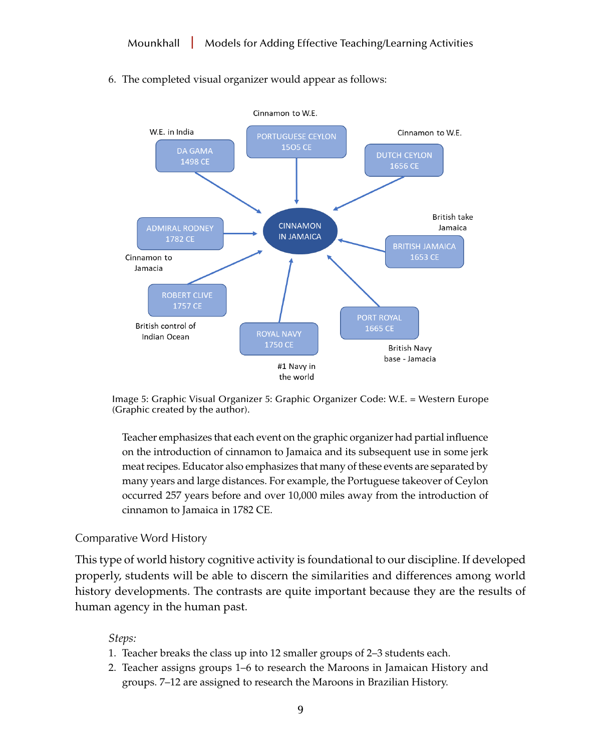



Image 5: Graphic Visual Organizer 5: Graphic Organizer Code: W.E. = Western Europe (Graphic created by the author).

Teacher emphasizes that each event on the graphic organizer had partial influence on the introduction of cinnamon to Jamaica and its subsequent use in some jerk meat recipes. Educator also emphasizes that many of these events are separated by many years and large distances. For example, the Portuguese takeover of Ceylon occurred 257 years before and over 10,000 miles away from the introduction of cinnamon to Jamaica in 1782 CE.

#### Comparative Word History

This type of world history cognitive activity is foundational to our discipline. If developed properly, students will be able to discern the similarities and differences among world history developments. The contrasts are quite important because they are the results of human agency in the human past.

- 1. Teacher breaks the class up into 12 smaller groups of 2–3 students each.
- 2. Teacher assigns groups 1–6 to research the Maroons in Jamaican History and groups. 7–12 are assigned to research the Maroons in Brazilian History.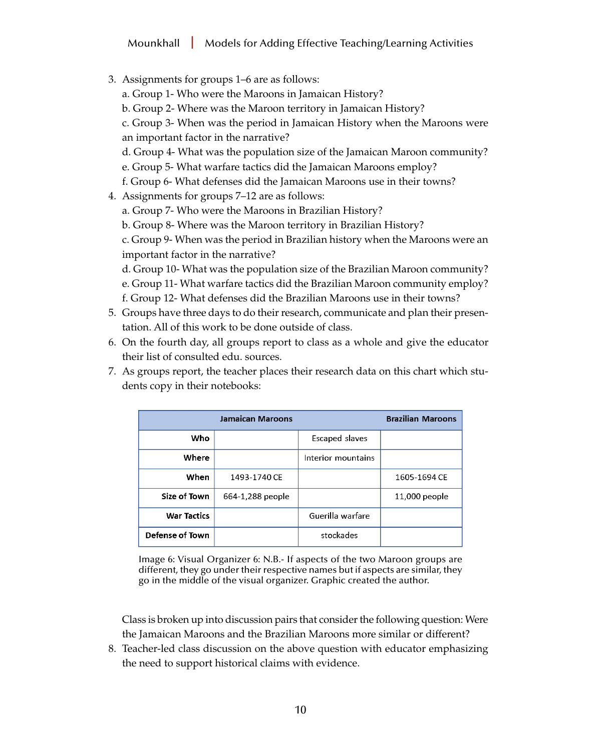- 3. Assignments for groups 1–6 are as follows:
	- a. Group 1- Who were the Maroons in Jamaican History?
	- b. Group 2- Where was the Maroon territory in Jamaican History?
	- c. Group 3- When was the period in Jamaican History when the Maroons were an important factor in the narrative?
	- d. Group 4- What was the population size of the Jamaican Maroon community?
	- e. Group 5- What warfare tactics did the Jamaican Maroons employ?
	- f. Group 6- What defenses did the Jamaican Maroons use in their towns?
- 4. Assignments for groups 7–12 are as follows:
	- a. Group 7- Who were the Maroons in Brazilian History?
	- b. Group 8- Where was the Maroon territory in Brazilian History?
	- c. Group 9- When was the period in Brazilian history when the Maroons were an important factor in the narrative?
	- d. Group 10- What was the population size of the Brazilian Maroon community?
	- e. Group 11- What warfare tactics did the Brazilian Maroon community employ?
	- f. Group 12- What defenses did the Brazilian Maroons use in their towns?
- 5. Groups have three days to do their research, communicate and plan their presentation. All of this work to be done outside of class.
- 6. On the fourth day, all groups report to class as a whole and give the educator their list of consulted edu. sources.
- 7. As groups report, the teacher places their research data on this chart which students copy in their notebooks:

|                        | <b>Jamaican Maroons</b> |                    | <b>Brazilian Maroons</b> |
|------------------------|-------------------------|--------------------|--------------------------|
| <b>Who</b>             |                         | Escaped slaves     |                          |
| Where                  |                         | Interior mountains |                          |
| When                   | 1493-1740 CE            |                    | 1605-1694 CE             |
| Size of Town           | 664-1,288 people        |                    | 11,000 people            |
| <b>War Tactics</b>     |                         | Guerilla warfare   |                          |
| <b>Defense of Town</b> |                         | stockades          |                          |

Image 6: Visual Organizer 6: N.B.- If aspects of the two Maroon groups are different, they go under their respective names but if aspects are similar, they go in the middle of the visual organizer. Graphic created the author.

Class is broken up into discussion pairs that consider the following question: Were the Jamaican Maroons and the Brazilian Maroons more similar or different?

8. Teacher-led class discussion on the above question with educator emphasizing the need to support historical claims with evidence.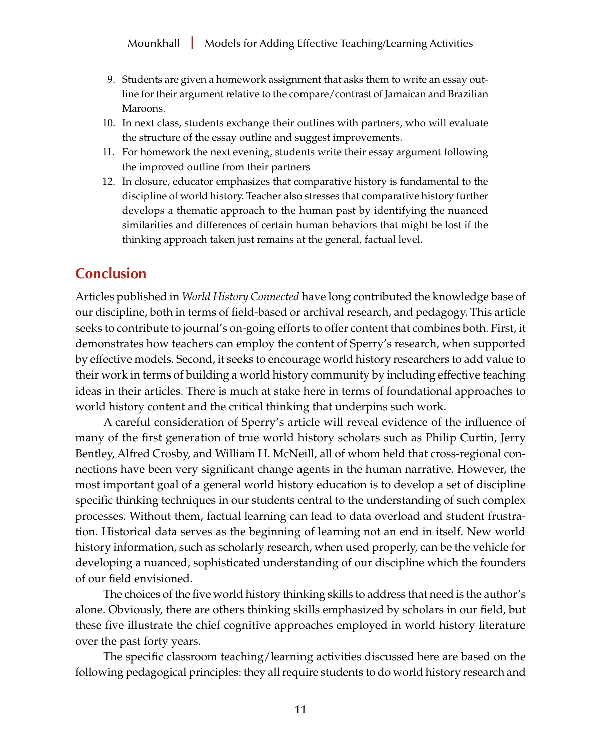- 9. Students are given a homework assignment that asks them to write an essay outline for their argument relative to the compare/contrast of Jamaican and Brazilian Maroons.
- 10. In next class, students exchange their outlines with partners, who will evaluate the structure of the essay outline and suggest improvements.
- 11. For homework the next evening, students write their essay argument following the improved outline from their partners
- 12. In closure, educator emphasizes that comparative history is fundamental to the discipline of world history. Teacher also stresses that comparative history further develops a thematic approach to the human past by identifying the nuanced similarities and differences of certain human behaviors that might be lost if the thinking approach taken just remains at the general, factual level.

## **Conclusion**

Articles published in *World History Connected* have long contributed the knowledge base of our discipline, both in terms of field-based or archival research, and pedagogy. This article seeks to contribute to journal's on-going efforts to offer content that combines both. First, it demonstrates how teachers can employ the content of Sperry's research, when supported by effective models. Second, it seeks to encourage world history researchers to add value to their work in terms of building a world history community by including effective teaching ideas in their articles. There is much at stake here in terms of foundational approaches to world history content and the critical thinking that underpins such work.

A careful consideration of Sperry's article will reveal evidence of the influence of many of the first generation of true world history scholars such as Philip Curtin, Jerry Bentley, Alfred Crosby, and William H. McNeill, all of whom held that cross-regional connections have been very significant change agents in the human narrative. However, the most important goal of a general world history education is to develop a set of discipline specific thinking techniques in our students central to the understanding of such complex processes. Without them, factual learning can lead to data overload and student frustration. Historical data serves as the beginning of learning not an end in itself. New world history information, such as scholarly research, when used properly, can be the vehicle for developing a nuanced, sophisticated understanding of our discipline which the founders of our field envisioned.

The choices of the five world history thinking skills to address that need is the author's alone. Obviously, there are others thinking skills emphasized by scholars in our field, but these five illustrate the chief cognitive approaches employed in world history literature over the past forty years.

The specific classroom teaching/learning activities discussed here are based on the following pedagogical principles: they all require students to do world history research and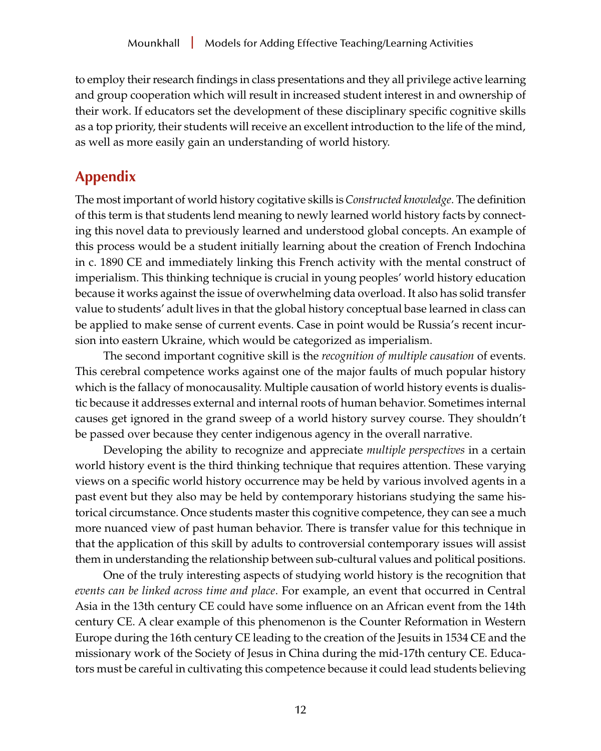to employ their research findings in class presentations and they all privilege active learning and group cooperation which will result in increased student interest in and ownership of their work. If educators set the development of these disciplinary specific cognitive skills as a top priority, their students will receive an excellent introduction to the life of the mind, as well as more easily gain an understanding of world history.

# **Appendix**

The most important of world history cogitative skills is *Constructed knowledge*. The definition of this term is that students lend meaning to newly learned world history facts by connecting this novel data to previously learned and understood global concepts. An example of this process would be a student initially learning about the creation of French Indochina in c. 1890 CE and immediately linking this French activity with the mental construct of imperialism. This thinking technique is crucial in young peoples' world history education because it works against the issue of overwhelming data overload. It also has solid transfer value to students' adult lives in that the global history conceptual base learned in class can be applied to make sense of current events. Case in point would be Russia's recent incursion into eastern Ukraine, which would be categorized as imperialism.

The second important cognitive skill is the *recognition of multiple causation* of events. This cerebral competence works against one of the major faults of much popular history which is the fallacy of monocausality. Multiple causation of world history events is dualistic because it addresses external and internal roots of human behavior. Sometimes internal causes get ignored in the grand sweep of a world history survey course. They shouldn't be passed over because they center indigenous agency in the overall narrative.

Developing the ability to recognize and appreciate *multiple perspectives* in a certain world history event is the third thinking technique that requires attention. These varying views on a specific world history occurrence may be held by various involved agents in a past event but they also may be held by contemporary historians studying the same historical circumstance. Once students master this cognitive competence, they can see a much more nuanced view of past human behavior. There is transfer value for this technique in that the application of this skill by adults to controversial contemporary issues will assist them in understanding the relationship between sub-cultural values and political positions.

One of the truly interesting aspects of studying world history is the recognition that *events can be linked across time and place*. For example, an event that occurred in Central Asia in the 13th century CE could have some influence on an African event from the 14th century CE. A clear example of this phenomenon is the Counter Reformation in Western Europe during the 16th century CE leading to the creation of the Jesuits in 1534 CE and the missionary work of the Society of Jesus in China during the mid-17th century CE. Educators must be careful in cultivating this competence because it could lead students believing